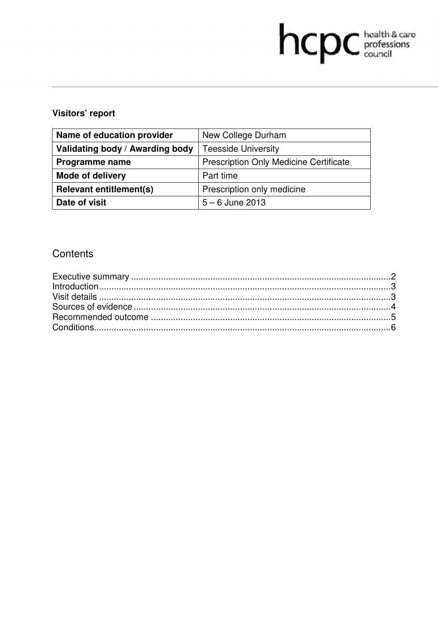# hcpc health & care

## **Visitors' report**

| Name of education provider      | New College Durham                            |  |
|---------------------------------|-----------------------------------------------|--|
| Validating body / Awarding body | <b>Teesside University</b>                    |  |
| Programme name                  | <b>Prescription Only Medicine Certificate</b> |  |
| <b>Mode of delivery</b>         | Part time                                     |  |
| <b>Relevant entitlement(s)</b>  | Prescription only medicine                    |  |
| Date of visit                   | $5 - 6$ June 2013                             |  |

## **Contents**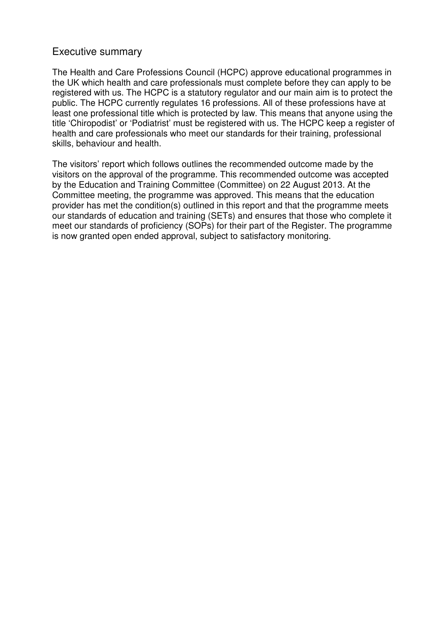## Executive summary

The Health and Care Professions Council (HCPC) approve educational programmes in the UK which health and care professionals must complete before they can apply to be registered with us. The HCPC is a statutory regulator and our main aim is to protect the public. The HCPC currently regulates 16 professions. All of these professions have at least one professional title which is protected by law. This means that anyone using the title 'Chiropodist' or 'Podiatrist' must be registered with us. The HCPC keep a register of health and care professionals who meet our standards for their training, professional skills, behaviour and health.

The visitors' report which follows outlines the recommended outcome made by the visitors on the approval of the programme. This recommended outcome was accepted by the Education and Training Committee (Committee) on 22 August 2013. At the Committee meeting, the programme was approved. This means that the education provider has met the condition(s) outlined in this report and that the programme meets our standards of education and training (SETs) and ensures that those who complete it meet our standards of proficiency (SOPs) for their part of the Register. The programme is now granted open ended approval, subject to satisfactory monitoring.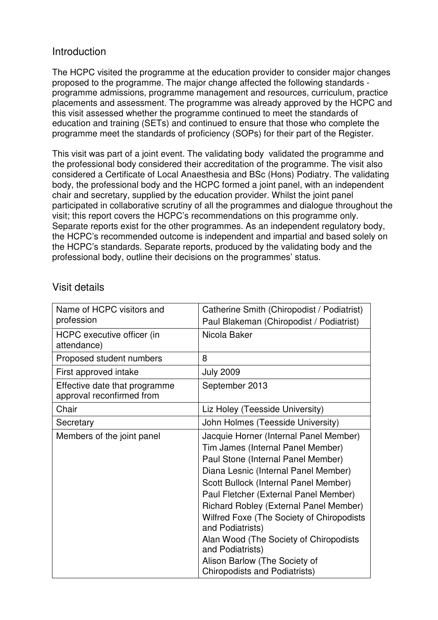## **Introduction**

The HCPC visited the programme at the education provider to consider major changes proposed to the programme. The major change affected the following standards programme admissions, programme management and resources, curriculum, practice placements and assessment. The programme was already approved by the HCPC and this visit assessed whether the programme continued to meet the standards of education and training (SETs) and continued to ensure that those who complete the programme meet the standards of proficiency (SOPs) for their part of the Register.

This visit was part of a joint event. The validating body validated the programme and the professional body considered their accreditation of the programme. The visit also considered a Certificate of Local Anaesthesia and BSc (Hons) Podiatry. The validating body, the professional body and the HCPC formed a joint panel, with an independent chair and secretary, supplied by the education provider. Whilst the joint panel participated in collaborative scrutiny of all the programmes and dialogue throughout the visit; this report covers the HCPC's recommendations on this programme only. Separate reports exist for the other programmes. As an independent regulatory body, the HCPC's recommended outcome is independent and impartial and based solely on the HCPC's standards. Separate reports, produced by the validating body and the professional body, outline their decisions on the programmes' status.

| Name of HCPC visitors and<br>profession                    | Catherine Smith (Chiropodist / Podiatrist)<br>Paul Blakeman (Chiropodist / Podiatrist)                                                                                                                                                                                                                                                                                                                                                                                                        |
|------------------------------------------------------------|-----------------------------------------------------------------------------------------------------------------------------------------------------------------------------------------------------------------------------------------------------------------------------------------------------------------------------------------------------------------------------------------------------------------------------------------------------------------------------------------------|
| HCPC executive officer (in<br>attendance)                  | Nicola Baker                                                                                                                                                                                                                                                                                                                                                                                                                                                                                  |
| Proposed student numbers                                   | 8                                                                                                                                                                                                                                                                                                                                                                                                                                                                                             |
| First approved intake                                      | <b>July 2009</b>                                                                                                                                                                                                                                                                                                                                                                                                                                                                              |
| Effective date that programme<br>approval reconfirmed from | September 2013                                                                                                                                                                                                                                                                                                                                                                                                                                                                                |
| Chair                                                      | Liz Holey (Teesside University)                                                                                                                                                                                                                                                                                                                                                                                                                                                               |
| Secretary                                                  | John Holmes (Teesside University)                                                                                                                                                                                                                                                                                                                                                                                                                                                             |
| Members of the joint panel                                 | Jacquie Horner (Internal Panel Member)<br>Tim James (Internal Panel Member)<br>Paul Stone (Internal Panel Member)<br>Diana Lesnic (Internal Panel Member)<br>Scott Bullock (Internal Panel Member)<br>Paul Fletcher (External Panel Member)<br>Richard Robley (External Panel Member)<br>Wilfred Foxe (The Society of Chiropodists<br>and Podiatrists)<br>Alan Wood (The Society of Chiropodists<br>and Podiatrists)<br>Alison Barlow (The Society of<br><b>Chiropodists and Podiatrists)</b> |

## Visit details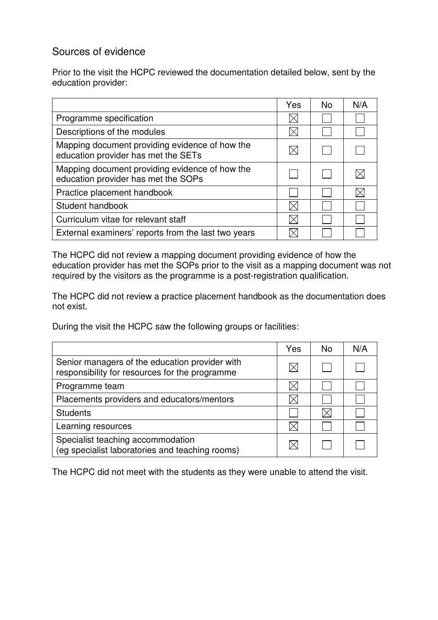## Sources of evidence

Prior to the visit the HCPC reviewed the documentation detailed below, sent by the education provider:

|                                                                                       | Yes | <b>No</b> | N/A |
|---------------------------------------------------------------------------------------|-----|-----------|-----|
| Programme specification                                                               |     |           |     |
| Descriptions of the modules                                                           |     |           |     |
| Mapping document providing evidence of how the<br>education provider has met the SETs |     |           |     |
| Mapping document providing evidence of how the<br>education provider has met the SOPs |     |           |     |
| Practice placement handbook                                                           |     |           |     |
| Student handbook                                                                      |     |           |     |
| Curriculum vitae for relevant staff                                                   |     |           |     |
| External examiners' reports from the last two years                                   |     |           |     |

The HCPC did not review a mapping document providing evidence of how the education provider has met the SOPs prior to the visit as a mapping document was not required by the visitors as the programme is a post-registration qualification.

The HCPC did not review a practice placement handbook as the documentation does not exist.

During the visit the HCPC saw the following groups or facilities:

|                                                                                                  | Yes | <b>No</b> | N/A |
|--------------------------------------------------------------------------------------------------|-----|-----------|-----|
| Senior managers of the education provider with<br>responsibility for resources for the programme |     |           |     |
| Programme team                                                                                   |     |           |     |
| Placements providers and educators/mentors                                                       |     |           |     |
| <b>Students</b>                                                                                  |     |           |     |
| Learning resources                                                                               |     |           |     |
| Specialist teaching accommodation<br>(eg specialist laboratories and teaching rooms)             |     |           |     |

The HCPC did not meet with the students as they were unable to attend the visit.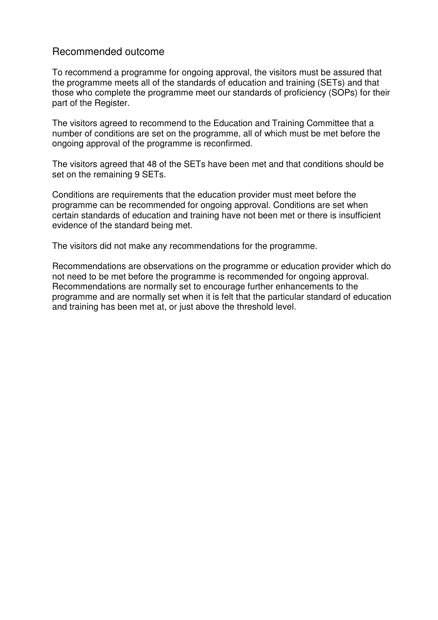## Recommended outcome

To recommend a programme for ongoing approval, the visitors must be assured that the programme meets all of the standards of education and training (SETs) and that those who complete the programme meet our standards of proficiency (SOPs) for their part of the Register.

The visitors agreed to recommend to the Education and Training Committee that a number of conditions are set on the programme, all of which must be met before the ongoing approval of the programme is reconfirmed.

The visitors agreed that 48 of the SETs have been met and that conditions should be set on the remaining 9 SETs.

Conditions are requirements that the education provider must meet before the programme can be recommended for ongoing approval. Conditions are set when certain standards of education and training have not been met or there is insufficient evidence of the standard being met.

The visitors did not make any recommendations for the programme.

Recommendations are observations on the programme or education provider which do not need to be met before the programme is recommended for ongoing approval. Recommendations are normally set to encourage further enhancements to the programme and are normally set when it is felt that the particular standard of education and training has been met at, or just above the threshold level.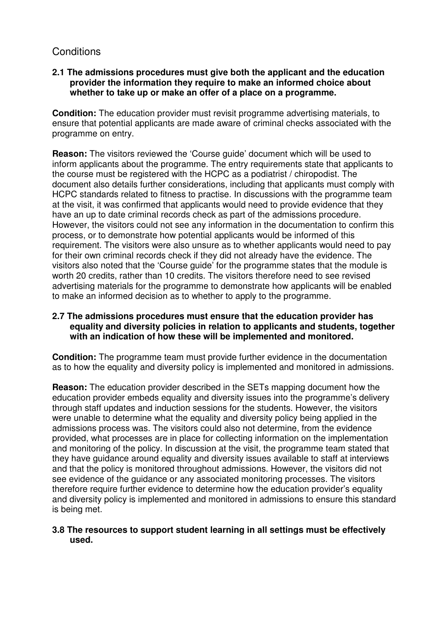## **Conditions**

#### **2.1 The admissions procedures must give both the applicant and the education provider the information they require to make an informed choice about whether to take up or make an offer of a place on a programme.**

**Condition:** The education provider must revisit programme advertising materials, to ensure that potential applicants are made aware of criminal checks associated with the programme on entry.

**Reason:** The visitors reviewed the 'Course guide' document which will be used to inform applicants about the programme. The entry requirements state that applicants to the course must be registered with the HCPC as a podiatrist / chiropodist. The document also details further considerations, including that applicants must comply with HCPC standards related to fitness to practise. In discussions with the programme team at the visit, it was confirmed that applicants would need to provide evidence that they have an up to date criminal records check as part of the admissions procedure. However, the visitors could not see any information in the documentation to confirm this process, or to demonstrate how potential applicants would be informed of this requirement. The visitors were also unsure as to whether applicants would need to pay for their own criminal records check if they did not already have the evidence. The visitors also noted that the 'Course guide' for the programme states that the module is worth 20 credits, rather than 10 credits. The visitors therefore need to see revised advertising materials for the programme to demonstrate how applicants will be enabled to make an informed decision as to whether to apply to the programme.

#### **2.7 The admissions procedures must ensure that the education provider has equality and diversity policies in relation to applicants and students, together with an indication of how these will be implemented and monitored.**

**Condition:** The programme team must provide further evidence in the documentation as to how the equality and diversity policy is implemented and monitored in admissions.

**Reason:** The education provider described in the SETs mapping document how the education provider embeds equality and diversity issues into the programme's delivery through staff updates and induction sessions for the students. However, the visitors were unable to determine what the equality and diversity policy being applied in the admissions process was. The visitors could also not determine, from the evidence provided, what processes are in place for collecting information on the implementation and monitoring of the policy. In discussion at the visit, the programme team stated that they have guidance around equality and diversity issues available to staff at interviews and that the policy is monitored throughout admissions. However, the visitors did not see evidence of the guidance or any associated monitoring processes. The visitors therefore require further evidence to determine how the education provider's equality and diversity policy is implemented and monitored in admissions to ensure this standard is being met.

#### **3.8 The resources to support student learning in all settings must be effectively used.**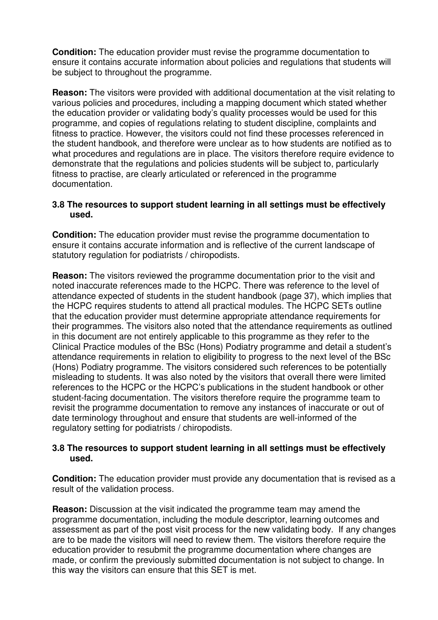**Condition:** The education provider must revise the programme documentation to ensure it contains accurate information about policies and regulations that students will be subject to throughout the programme.

**Reason:** The visitors were provided with additional documentation at the visit relating to various policies and procedures, including a mapping document which stated whether the education provider or validating body's quality processes would be used for this programme, and copies of regulations relating to student discipline, complaints and fitness to practice. However, the visitors could not find these processes referenced in the student handbook, and therefore were unclear as to how students are notified as to what procedures and regulations are in place. The visitors therefore require evidence to demonstrate that the regulations and policies students will be subject to, particularly fitness to practise, are clearly articulated or referenced in the programme documentation.

#### **3.8 The resources to support student learning in all settings must be effectively used.**

**Condition:** The education provider must revise the programme documentation to ensure it contains accurate information and is reflective of the current landscape of statutory regulation for podiatrists / chiropodists.

**Reason:** The visitors reviewed the programme documentation prior to the visit and noted inaccurate references made to the HCPC. There was reference to the level of attendance expected of students in the student handbook (page 37), which implies that the HCPC requires students to attend all practical modules. The HCPC SETs outline that the education provider must determine appropriate attendance requirements for their programmes. The visitors also noted that the attendance requirements as outlined in this document are not entirely applicable to this programme as they refer to the Clinical Practice modules of the BSc (Hons) Podiatry programme and detail a student's attendance requirements in relation to eligibility to progress to the next level of the BSc (Hons) Podiatry programme. The visitors considered such references to be potentially misleading to students. It was also noted by the visitors that overall there were limited references to the HCPC or the HCPC's publications in the student handbook or other student-facing documentation. The visitors therefore require the programme team to revisit the programme documentation to remove any instances of inaccurate or out of date terminology throughout and ensure that students are well-informed of the regulatory setting for podiatrists / chiropodists.

#### **3.8 The resources to support student learning in all settings must be effectively used.**

**Condition:** The education provider must provide any documentation that is revised as a result of the validation process.

**Reason:** Discussion at the visit indicated the programme team may amend the programme documentation, including the module descriptor, learning outcomes and assessment as part of the post visit process for the new validating body. If any changes are to be made the visitors will need to review them. The visitors therefore require the education provider to resubmit the programme documentation where changes are made, or confirm the previously submitted documentation is not subject to change. In this way the visitors can ensure that this SET is met.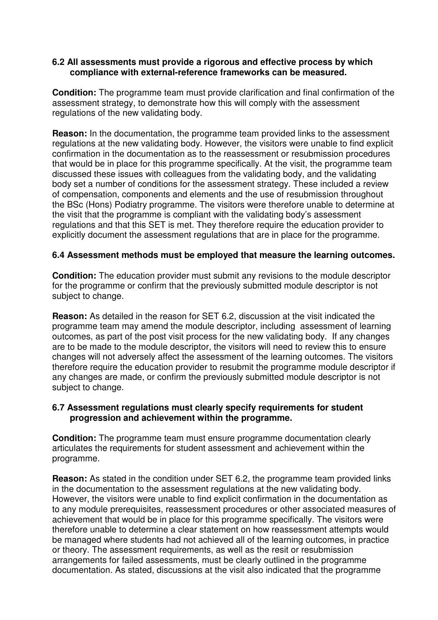#### **6.2 All assessments must provide a rigorous and effective process by which compliance with external-reference frameworks can be measured.**

**Condition:** The programme team must provide clarification and final confirmation of the assessment strategy, to demonstrate how this will comply with the assessment regulations of the new validating body.

**Reason:** In the documentation, the programme team provided links to the assessment regulations at the new validating body. However, the visitors were unable to find explicit confirmation in the documentation as to the reassessment or resubmission procedures that would be in place for this programme specifically. At the visit, the programme team discussed these issues with colleagues from the validating body, and the validating body set a number of conditions for the assessment strategy. These included a review of compensation, components and elements and the use of resubmission throughout the BSc (Hons) Podiatry programme. The visitors were therefore unable to determine at the visit that the programme is compliant with the validating body's assessment regulations and that this SET is met. They therefore require the education provider to explicitly document the assessment regulations that are in place for the programme.

#### **6.4 Assessment methods must be employed that measure the learning outcomes.**

**Condition:** The education provider must submit any revisions to the module descriptor for the programme or confirm that the previously submitted module descriptor is not subject to change.

**Reason:** As detailed in the reason for SET 6.2, discussion at the visit indicated the programme team may amend the module descriptor, including assessment of learning outcomes, as part of the post visit process for the new validating body. If any changes are to be made to the module descriptor, the visitors will need to review this to ensure changes will not adversely affect the assessment of the learning outcomes. The visitors therefore require the education provider to resubmit the programme module descriptor if any changes are made, or confirm the previously submitted module descriptor is not subject to change.

#### **6.7 Assessment regulations must clearly specify requirements for student progression and achievement within the programme.**

**Condition:** The programme team must ensure programme documentation clearly articulates the requirements for student assessment and achievement within the programme.

**Reason:** As stated in the condition under SET 6.2, the programme team provided links in the documentation to the assessment regulations at the new validating body. However, the visitors were unable to find explicit confirmation in the documentation as to any module prerequisites, reassessment procedures or other associated measures of achievement that would be in place for this programme specifically. The visitors were therefore unable to determine a clear statement on how reassessment attempts would be managed where students had not achieved all of the learning outcomes, in practice or theory. The assessment requirements, as well as the resit or resubmission arrangements for failed assessments, must be clearly outlined in the programme documentation. As stated, discussions at the visit also indicated that the programme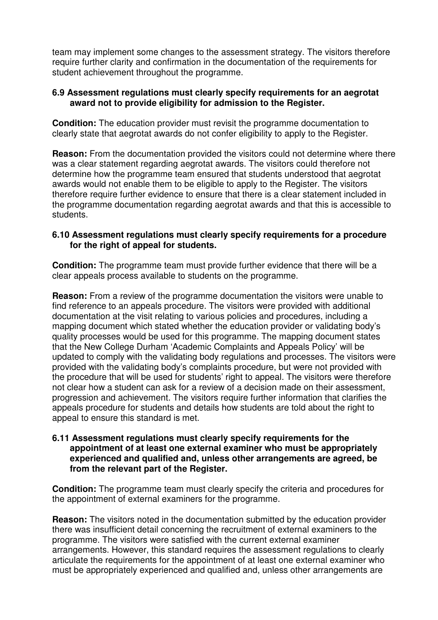team may implement some changes to the assessment strategy. The visitors therefore require further clarity and confirmation in the documentation of the requirements for student achievement throughout the programme.

#### **6.9 Assessment regulations must clearly specify requirements for an aegrotat award not to provide eligibility for admission to the Register.**

**Condition:** The education provider must revisit the programme documentation to clearly state that aegrotat awards do not confer eligibility to apply to the Register.

**Reason:** From the documentation provided the visitors could not determine where there was a clear statement regarding aegrotat awards. The visitors could therefore not determine how the programme team ensured that students understood that aegrotat awards would not enable them to be eligible to apply to the Register. The visitors therefore require further evidence to ensure that there is a clear statement included in the programme documentation regarding aegrotat awards and that this is accessible to students.

#### **6.10 Assessment regulations must clearly specify requirements for a procedure for the right of appeal for students.**

**Condition:** The programme team must provide further evidence that there will be a clear appeals process available to students on the programme.

**Reason:** From a review of the programme documentation the visitors were unable to find reference to an appeals procedure. The visitors were provided with additional documentation at the visit relating to various policies and procedures, including a mapping document which stated whether the education provider or validating body's quality processes would be used for this programme. The mapping document states that the New College Durham 'Academic Complaints and Appeals Policy' will be updated to comply with the validating body regulations and processes. The visitors were provided with the validating body's complaints procedure, but were not provided with the procedure that will be used for students' right to appeal. The visitors were therefore not clear how a student can ask for a review of a decision made on their assessment, progression and achievement. The visitors require further information that clarifies the appeals procedure for students and details how students are told about the right to appeal to ensure this standard is met.

#### **6.11 Assessment regulations must clearly specify requirements for the appointment of at least one external examiner who must be appropriately experienced and qualified and, unless other arrangements are agreed, be from the relevant part of the Register.**

**Condition:** The programme team must clearly specify the criteria and procedures for the appointment of external examiners for the programme.

**Reason:** The visitors noted in the documentation submitted by the education provider there was insufficient detail concerning the recruitment of external examiners to the programme. The visitors were satisfied with the current external examiner arrangements. However, this standard requires the assessment regulations to clearly articulate the requirements for the appointment of at least one external examiner who must be appropriately experienced and qualified and, unless other arrangements are